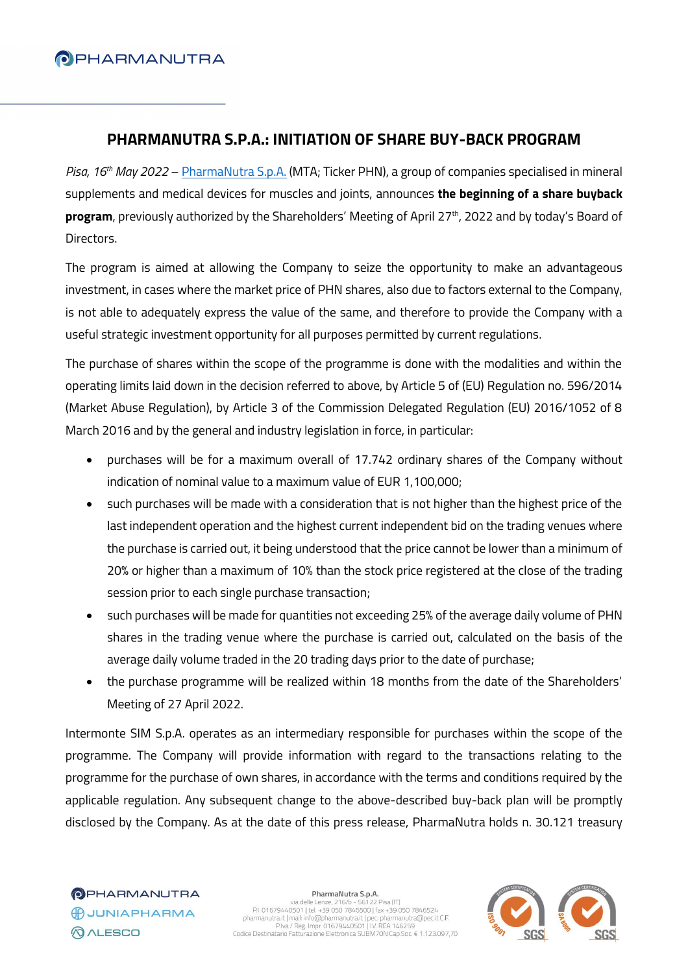# **O** PHARMANUTRA

### **PHARMANUTRA S.P.A.: INITIATION OF SHARE BUY-BACK PROGRAM**

*Pisa, 16th May 2022* – [PharmaNutra S.p.A.](https://www.pharmanutra.it/it/) (MTA; Ticker PHN), a group of companies specialised in mineral supplements and medical devices for muscles and joints, announces **the beginning of a share buyback program**, previously authorized by the Shareholders' Meeting of April 27th, 2022 and by today's Board of Directors.

The program is aimed at allowing the Company to seize the opportunity to make an advantageous investment, in cases where the market price of PHN shares, also due to factors external to the Company, is not able to adequately express the value of the same, and therefore to provide the Company with a useful strategic investment opportunity for all purposes permitted by current regulations.

The purchase of shares within the scope of the programme is done with the modalities and within the operating limits laid down in the decision referred to above, by Article 5 of (EU) Regulation no. 596/2014 (Market Abuse Regulation), by Article 3 of the Commission Delegated Regulation (EU) 2016/1052 of 8 March 2016 and by the general and industry legislation in force, in particular:

- purchases will be for a maximum overall of 17.742 ordinary shares of the Company without indication of nominal value to a maximum value of EUR 1,100,000;
- such purchases will be made with a consideration that is not higher than the highest price of the last independent operation and the highest current independent bid on the trading venues where the purchase is carried out, it being understood that the price cannot be lower than a minimum of 20% or higher than a maximum of 10% than the stock price registered at the close of the trading session prior to each single purchase transaction;
- such purchases will be made for quantities not exceeding 25% of the average daily volume of PHN shares in the trading venue where the purchase is carried out, calculated on the basis of the average daily volume traded in the 20 trading days prior to the date of purchase;
- the purchase programme will be realized within 18 months from the date of the Shareholders' Meeting of 27 April 2022.

Intermonte SIM S.p.A. operates as an intermediary responsible for purchases within the scope of the programme. The Company will provide information with regard to the transactions relating to the programme for the purchase of own shares, in accordance with the terms and conditions required by the applicable regulation. Any subsequent change to the above-described buy-back plan will be promptly disclosed by the Company. As at the date of this press release, PharmaNutra holds n. 30.121 treasury

#### PharmaNutra S.p.A.

Piarmanutra 3.0.8.1.<br>P.I. 01679440501 | tel. +39 050 7846500 | fax +39 050 7846524<br>Pisarmanutra (Imali: info@pharmanutra it | personal personal personal personal personal personal personal per<br>Pixa / Reg. Impr. 0167944050